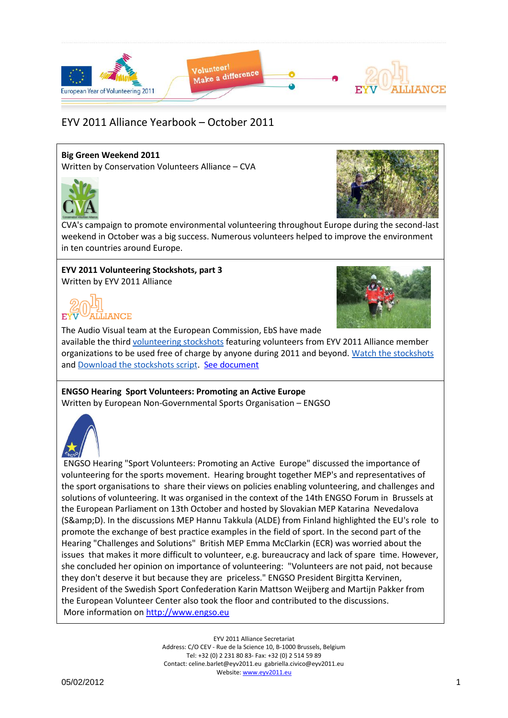

#### **Big Green Weekend 2011**

Written by Conservation Volunteers Alliance – CVA





CVA's campaign to promote environmental volunteering throughout Europe during the second-last weekend in October was a big success. Numerous volunteers helped to improve the environment in ten countries around Europe.

# **EYV 2011 Volunteering Stockshots, part 3**

Written by EYV 2011 Alliance





The Audio Visual team at the European Commission, EbS have made

available the third [volunteering stockshots](http://www.eyv2011.eu/index.php?option=com_acymailing&ctrl=url&urlid=452&mailid=26&subid=4) featuring volunteers from EYV 2011 Alliance member organizations to be used free of charge by anyone during 2011 and beyond. [Watch the stockshots](http://www.eyv2011.eu/index.php?option=com_acymailing&ctrl=url&urlid=452&mailid=26&subid=4) and [Download the stockshots script.](http://www.eyv2011.eu/index.php?option=com_acymailing&ctrl=url&urlid=299&mailid=26&subid=4) [See document](Yearbook_Oct2011_Docs/showShotlist3_EYV2011%20Alliance.pdf)

#### **ENGSO Hearing Sport Volunteers: Promoting an Active Europe** Written by European Non-Governmental Sports Organisation – ENGSO



ENGSO Hearing "Sport Volunteers: Promoting an Active Europe" discussed the importance of volunteering for the sports movement. Hearing brought together MEP's and representatives of the sport organisations to share their views on policies enabling volunteering, and challenges and solutions of volunteering. It was organised in the context of the 14th ENGSO Forum in Brussels at the European Parliament on 13th October and hosted by Slovakian MEP Katarina Nevedalova (S&D). In the discussions MEP Hannu Takkula (ALDE) from Finland highlighted the EU's role to promote the exchange of best practice examples in the field of sport. In the second part of the Hearing "Challenges and Solutions" British MEP Emma McClarkin (ECR) was worried about the issues that makes it more difficult to volunteer, e.g. bureaucracy and lack of spare time. However, she concluded her opinion on importance of volunteering: "Volunteers are not paid, not because they don't deserve it but because they are priceless." ENGSO President Birgitta Kervinen, President of the Swedish Sport Confederation Karin Mattson Weijberg and Martijn Pakker from the European Volunteer Center also took the floor and contributed to the discussions. More information on [http://www.engso.eu](http://www.engso.eu/)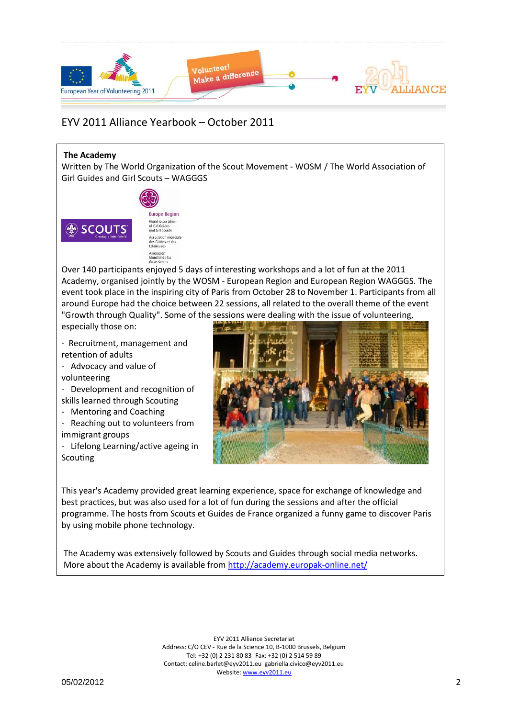

#### **The Academy**

Written by The World Organization of the Scout Movement - WOSM / The World Association of Girl Guides and Girl Scouts – WAGGGS



Asociación<br>Mundial de las<br>Guías Scouts Over 140 participants enjoyed 5 days of interesting workshops and a lot of fun at the 2011 Academy, organised jointly by the WOSM - European Region and European Region WAGGGS. The event took place in the inspiring city of Paris from October 28 to November 1. Participants from all around Europe had the choice between 22 sessions, all related to the overall theme of the event "Growth through Quality". Some of the sessions were dealing with the issue of volunteering,

especially those on:

- Recruitment, management and retention of adults
- Advocacy and value of volunteering
- Development and recognition of skills learned through Scouting
- Mentoring and Coaching
- Reaching out to volunteers from immigrant groups
- Lifelong Learning/active ageing in Scouting



This year's Academy provided great learning experience, space for exchange of knowledge and best practices, but was also used for a lot of fun during the sessions and after the official programme. The hosts from Scouts et Guides de France organized a funny game to discover Paris by using mobile phone technology.

The Academy was extensively followed by Scouts and Guides through social media networks. More about the Academy is available from<http://academy.europak-online.net/>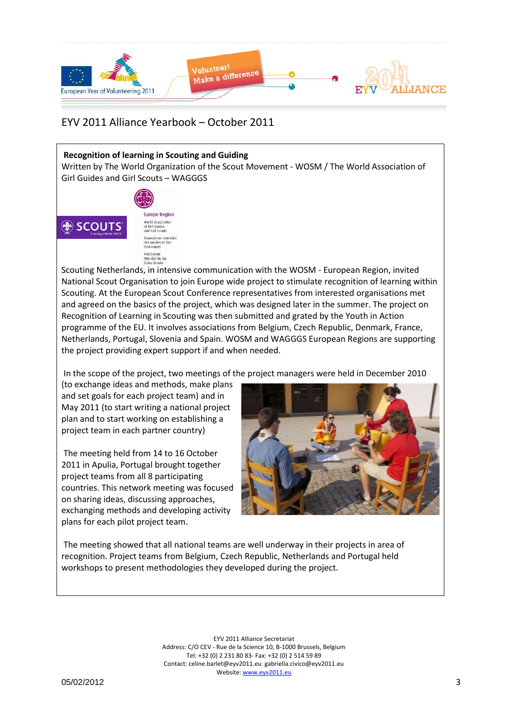

#### **Recognition of learning in Scouting and Guiding**

Asociación<br>Mundial de las<br>Guías Scouts

Written by The World Organization of the Scout Movement - WOSM / The World Association of Girl Guides and Girl Scouts – WAGGGS



Scouting Netherlands, in intensive communication with the WOSM - European Region, invited National Scout Organisation to join Europe wide project to stimulate recognition of learning within Scouting. At the European Scout Conference representatives from interested organisations met and agreed on the basics of the project, which was designed later in the summer. The project on Recognition of Learning in Scouting was then submitted and grated by the Youth in Action programme of the EU. It involves associations from Belgium, Czech Republic, Denmark, France, Netherlands, Portugal, Slovenia and Spain. WOSM and WAGGGS European Regions are supporting the project providing expert support if and when needed.

In the scope of the project, two meetings of the project managers were held in December 2010

(to exchange ideas and methods, make plans and set goals for each project team) and in May 2011 (to start writing a national project plan and to start working on establishing a project team in each partner country)

The meeting held from 14 to 16 October 2011 in Apulia, Portugal brought together project teams from all 8 participating countries. This network meeting was focused on sharing ideas, discussing approaches, exchanging methods and developing activity plans for each pilot project team.



The meeting showed that all national teams are well underway in their projects in area of recognition. Project teams from Belgium, Czech Republic, Netherlands and Portugal held workshops to present methodologies they developed during the project.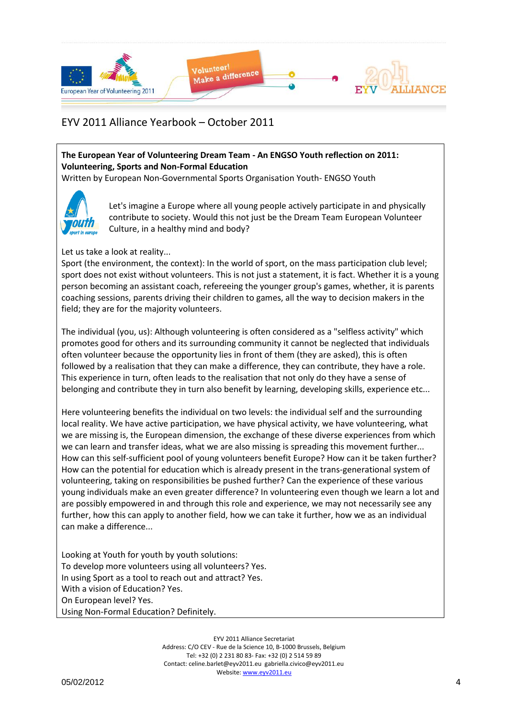

#### **The European Year of Volunteering Dream Team - An ENGSO Youth reflection on 2011: Volunteering, Sports and Non-Formal Education**

Written by European Non-Governmental Sports Organisation Youth- ENGSO Youth



Let's imagine a Europe where all young people actively participate in and physically contribute to society. Would this not just be the Dream Team European Volunteer Culture, in a healthy mind and body?

#### Let us take a look at reality...

Sport (the environment, the context): In the world of sport, on the mass participation club level; sport does not exist without volunteers. This is not just a statement, it is fact. Whether it is a young person becoming an assistant coach, refereeing the younger group's games, whether, it is parents coaching sessions, parents driving their children to games, all the way to decision makers in the field; they are for the majority volunteers.

The individual (you, us): Although volunteering is often considered as a "selfless activity" which promotes good for others and its surrounding community it cannot be neglected that individuals often volunteer because the opportunity lies in front of them (they are asked), this is often followed by a realisation that they can make a difference, they can contribute, they have a role. This experience in turn, often leads to the realisation that not only do they have a sense of belonging and contribute they in turn also benefit by learning, developing skills, experience etc...

Here volunteering benefits the individual on two levels: the individual self and the surrounding local reality. We have active participation, we have physical activity, we have volunteering, what we are missing is, the European dimension, the exchange of these diverse experiences from which we can learn and transfer ideas, what we are also missing is spreading this movement further... How can this self-sufficient pool of young volunteers benefit Europe? How can it be taken further? How can the potential for education which is already present in the trans-generational system of volunteering, taking on responsibilities be pushed further? Can the experience of these various young individuals make an even greater difference? In volunteering even though we learn a lot and are possibly empowered in and through this role and experience, we may not necessarily see any further, how this can apply to another field, how we can take it further, how we as an individual can make a difference...

Looking at Youth for youth by youth solutions: To develop more volunteers using all volunteers? Yes. In using Sport as a tool to reach out and attract? Yes. With a vision of Education? Yes. On European level? Yes. Using Non-Formal Education? Definitely.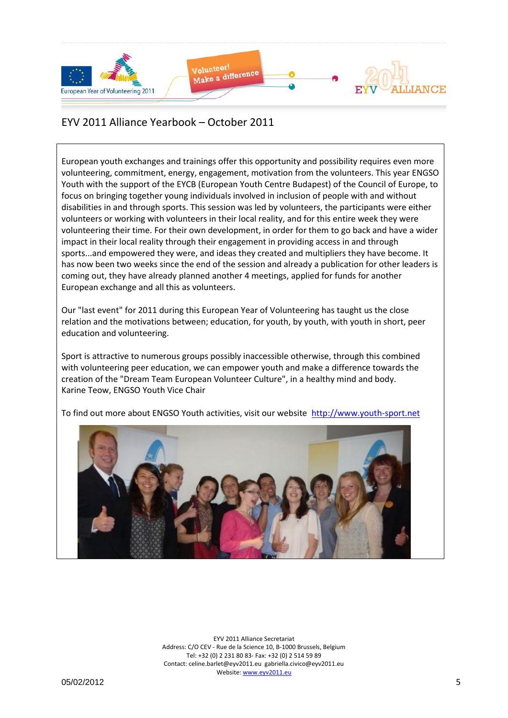

European youth exchanges and trainings offer this opportunity and possibility requires even more volunteering, commitment, energy, engagement, motivation from the volunteers. This year ENGSO Youth with the support of the EYCB (European Youth Centre Budapest) of the Council of Europe, to focus on bringing together young individuals involved in inclusion of people with and without disabilities in and through sports. This session was led by volunteers, the participants were either volunteers or working with volunteers in their local reality, and for this entire week they were volunteering their time. For their own development, in order for them to go back and have a wider impact in their local reality through their engagement in providing access in and through sports...and empowered they were, and ideas they created and multipliers they have become. It has now been two weeks since the end of the session and already a publication for other leaders is coming out, they have already planned another 4 meetings, applied for funds for another European exchange and all this as volunteers.

Our "last event" for 2011 during this European Year of Volunteering has taught us the close relation and the motivations between; education, for youth, by youth, with youth in short, peer education and volunteering.

Sport is attractive to numerous groups possibly inaccessible otherwise, through this combined with volunteering peer education, we can empower youth and make a difference towards the creation of the "Dream Team European Volunteer Culture", in a healthy mind and body. Karine Teow, ENGSO Youth Vice Chair

To find out more about ENGSO Youth activities, visit our website [http://www.youth-sport.net](http://www.youth-sport.net/)

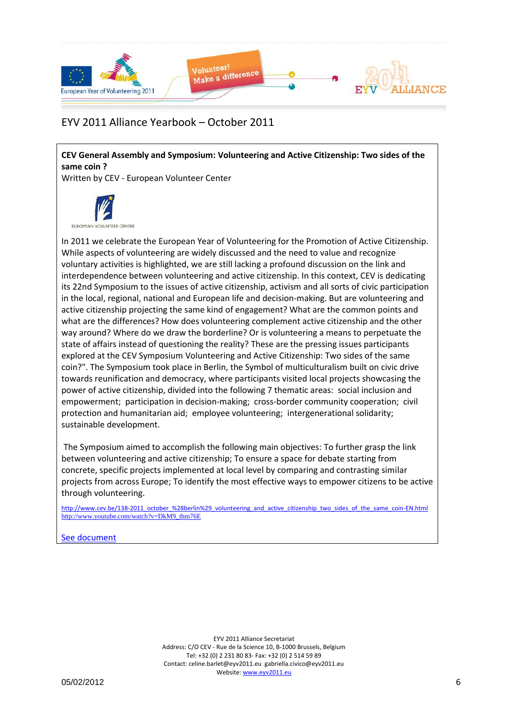

**CEV General Assembly and Symposium: Volunteering and Active Citizenship: Two sides of the same coin ?**

Written by CEV - European Volunteer Center



In 2011 we celebrate the European Year of Volunteering for the Promotion of Active Citizenship. While aspects of volunteering are widely discussed and the need to value and recognize voluntary activities is highlighted, we are still lacking a profound discussion on the link and interdependence between volunteering and active citizenship. In this context, CEV is dedicating its 22nd Symposium to the issues of active citizenship, activism and all sorts of civic participation in the local, regional, national and European life and decision-making. But are volunteering and active citizenship projecting the same kind of engagement? What are the common points and what are the differences? How does volunteering complement active citizenship and the other way around? Where do we draw the borderline? Or is volunteering a means to perpetuate the state of affairs instead of questioning the reality? These are the pressing issues participants explored at the CEV Symposium Volunteering and Active Citizenship: Two sides of the same coin?". The Symposium took place in Berlin, the Symbol of multiculturalism built on civic drive towards reunification and democracy, where participants visited local projects showcasing the power of active citizenship, divided into the following 7 thematic areas: social inclusion and empowerment; participation in decision-making; cross-border community cooperation; civil protection and humanitarian aid; employee volunteering; intergenerational solidarity; sustainable development.

The Symposium aimed to accomplish the following main objectives: To further grasp the link between volunteering and active citizenship; To ensure a space for debate starting from concrete, specific projects implemented at local level by comparing and contrasting similar projects from across Europe; To identify the most effective ways to empower citizens to be active through volunteering.

[http://www.cev.be/138-2011\\_october\\_%28berlin%29\\_volunteering\\_and\\_active\\_citizenship\\_two\\_sides\\_of\\_the\\_same\\_coin-EN.html](http://www.cev.be/138-2011_october_%28berlin%29_volunteering_and_active_citizenship_two_sides_of_the_same_coin-EN.html) [http://www.youtube.com/watch?v=DkM9\\_thm76E](http://www.eyv2011.eu/yearbook-2011/item/download/542)

[See document](Yearbook_Oct2011_Docs/Programme_CEV_Symposium_in_Berlin_Final_CEV.pdf)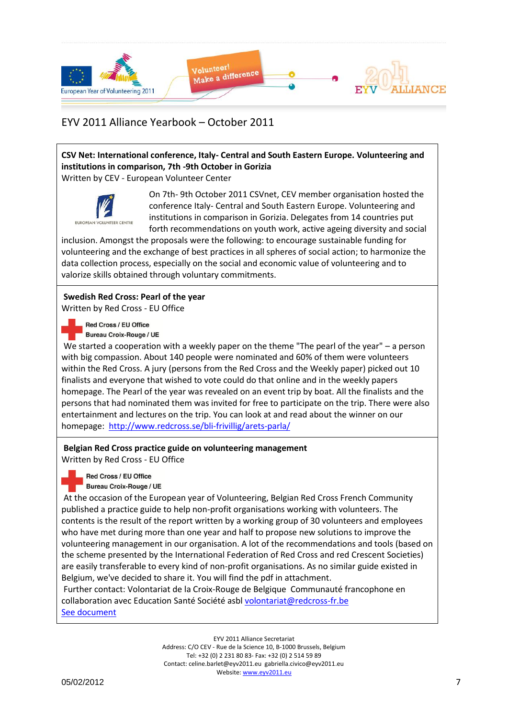

### **CSV Net: International conference, Italy- Central and South Eastern Europe. Volunteering and institutions in comparison, 7th -9th October in Gorizia**

Written by CEV - European Volunteer Center



On 7th- 9th October 2011 CSVnet, CEV member organisation hosted the conference Italy- Central and South Eastern Europe. Volunteering and institutions in comparison in Gorizia. Delegates from 14 countries put forth recommendations on youth work, active ageing diversity and social

inclusion. Amongst the proposals were the following: to encourage sustainable funding for volunteering and the exchange of best practices in all spheres of social action; to harmonize the data collection process, especially on the social and economic value of volunteering and to valorize skills obtained through voluntary commitments.

### **Swedish Red Cross: Pearl of the year**

Written by Red Cross - EU Office

Red Cross / EU Office

Bureau Croix-Rouge / UE

We started a cooperation with a weekly paper on the theme "The pearl of the year" – a person with big compassion. About 140 people were nominated and 60% of them were volunteers within the Red Cross. A jury (persons from the Red Cross and the Weekly paper) picked out 10 finalists and everyone that wished to vote could do that online and in the weekly papers homepage. The Pearl of the year was revealed on an event trip by boat. All the finalists and the persons that had nominated them was invited for free to participate on the trip. There were also entertainment and lectures on the trip. You can look at and read about the winner on our homepage:<http://www.redcross.se/bli-frivillig/arets-parla/>

#### **Belgian Red Cross practice guide on volunteering management**

Written by Red Cross - EU Office

Red Cross / EU Office

Bureau Croix-Rouge / UE

At the occasion of the European year of Volunteering, Belgian Red Cross French Community published a practice guide to help non-profit organisations working with volunteers. The contents is the result of the report written by a working group of 30 volunteers and employees who have met during more than one year and half to propose new solutions to improve the volunteering management in our organisation. A lot of the recommendations and tools (based on the scheme presented by the International Federation of Red Cross and red Crescent Societies) are easily transferable to every kind of non-profit organisations. As no similar guide existed in Belgium, we've decided to share it. You will find the pdf in attachment.

Further contact: Volontariat de la Croix-Rouge de Belgique Communauté francophone en collaboration avec Education Santé Société asbl [volontariat@redcross-fr.be](mailto:volontariat@redcross-fr.be) [See document](Yearbook_Oct2011_Docs/guide_volontariat_crb_imp_RedCrossEUOffice.pdf)